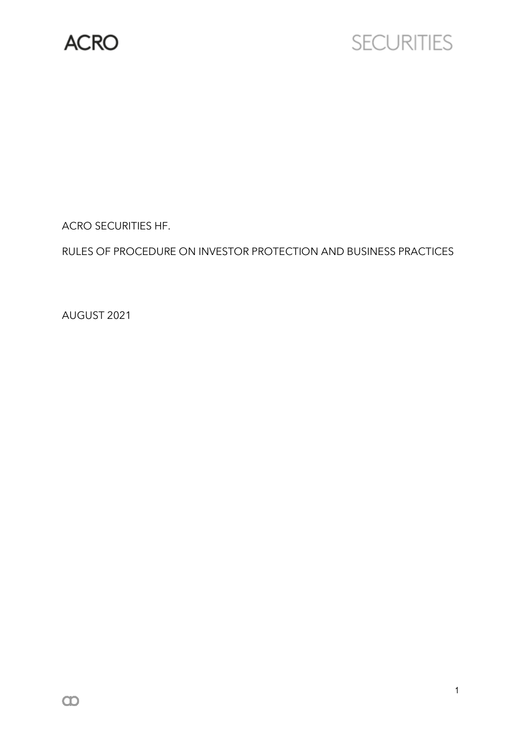

# **SECURITIES**

ACRO SECURITIES HF.

RULES OF PROCEDURE ON INVESTOR PROTECTION AND BUSINESS PRACTICES

AUGUST 2021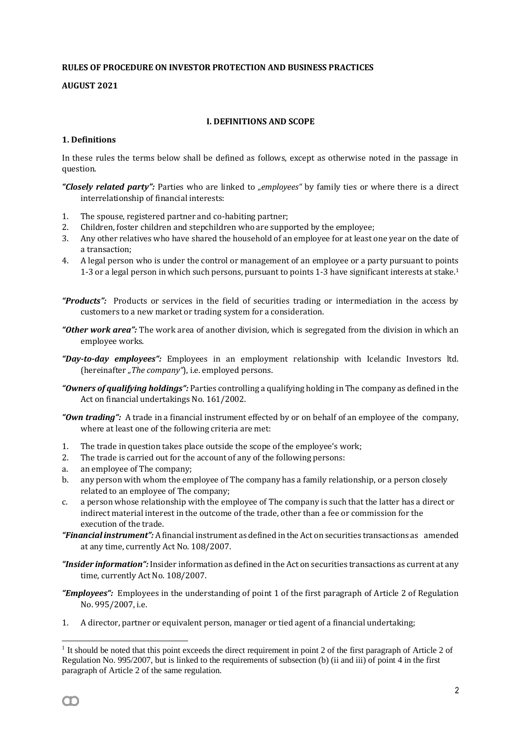## **RULES OF PROCEDURE ON INVESTOR PROTECTION AND BUSINESS PRACTICES**

# **AUGUST 2021**

# **I. DEFINITIONS AND SCOPE**

## **1. Definitions**

In these rules the terms below shall be defined as follows, except as otherwise noted in the passage in question.

*"Closely related party":* Parties who are linked to *"employees"* by family ties or where there is a direct interrelationship of financial interests:

- 1. The spouse, registered partner and co-habiting partner;
- 2. Children, foster children and stepchildren who are supported by the employee;
- 3. Any other relatives who have shared the household of an employee for at least one year on the date of a transaction;
- 4. A legal person who is under the control or management of an employee or a party pursuant to points 1-3 or a legal person in which such persons, pursuant to points 1-3 have significant interests at stake.<sup>1</sup>
- "Products": Products or services in the field of securities trading or intermediation in the access by customers to a new market or trading system for a consideration.
- *"Other work area":* The work area of another division, which is segregated from the division in which an employee works.
- *"Day-to-day employees":* Employees in an employment relationship with Icelandic Investors ltd. (hereinafter "The company"), i.e. employed persons.
- *"Owners of qualifying holdings":* Parties controlling a qualifying holding in The company as defined in the Act on financial undertakings No. 161/2002.
- *"Own trading":* A trade in a financial instrument effected by or on behalf of an employee of the company, where at least one of the following criteria are met:
- 1. The trade in question takes place outside the scope of the employee's work;
- 2. The trade is carried out for the account of any of the following persons:
- a. an employee of The company;
- b. any person with whom the employee of The company has a family relationship, or a person closely related to an employee of The company;
- c. a person whose relationship with the employee of The company is such that the latter has a direct or indirect material interest in the outcome of the trade, other than a fee or commission for the execution of the trade.
- *"Financial instrument":* A financial instrument as defined in the Act on securities transactions as amended at any time, currently Act No. 108/2007.
- *"Insider information":* Insider information as defined in the Act on securities transactions as current at any time, currently Act No. 108/2007.
- *"Employees":* Employees in the understanding of point 1 of the first paragraph of Article 2 of Regulation No. 995/2007, i.e.
- 1. A director, partner or equivalent person, manager or tied agent of a financial undertaking;

<sup>&</sup>lt;sup>1</sup> It should be noted that this point exceeds the direct requirement in point 2 of the first paragraph of Article 2 of Regulation No. 995/2007, but is linked to the requirements of subsection (b) (ii and iii) of point 4 in the first paragraph of Article 2 of the same regulation.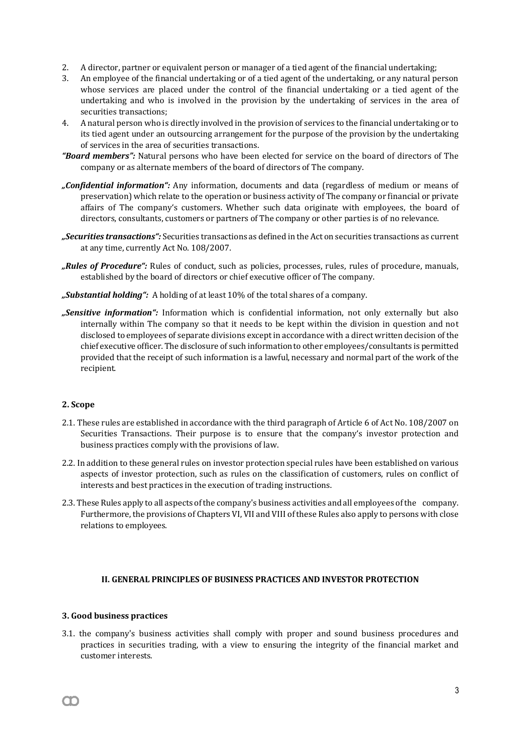- 2. A director, partner or equivalent person or manager of a tied agent of the financial undertaking;
- 3. An employee of the financial undertaking or of a tied agent of the undertaking, or any natural person whose services are placed under the control of the financial undertaking or a tied agent of the undertaking and who is involved in the provision by the undertaking of services in the area of securities transactions;
- 4. A natural person who is directly involved in the provision of services to the financial undertaking or to its tied agent under an outsourcing arrangement for the purpose of the provision by the undertaking of services in the area of securities transactions.
- *"Board members":* Natural persons who have been elected for service on the board of directors of The company or as alternate members of the board of directors of The company.
- *"Confidential information":* Any information, documents and data (regardless of medium or means of preservation) which relate to the operation or business activity of The company or financial or private affairs of The company's customers. Whether such data originate with employees, the board of directors, consultants, customers or partners of The company or other parties is of no relevance.
- *"Securities transactions":* Securities transactions as defined in the Act on securities transactions as current at any time, currently Act No. 108/2007.
- *"Rules of Procedure":* Rules of conduct, such as policies, processes, rules, rules of procedure, manuals, established by the board of directors or chief executive officer of The company.
- *"Substantial holding":* A holding of at least 10% of the total shares of a company.
- *"Sensitive information":* Information which is confidential information, not only externally but also internally within The company so that it needs to be kept within the division in question and not disclosed to employees of separate divisions except in accordance with a direct written decision of the chief executive officer. The disclosure of such information to other employees/consultants is permitted provided that the receipt of such information is a lawful, necessary and normal part of the work of the recipient.

## **2. Scope**

- 2.1. These rules are established in accordance with the third paragraph of Article 6 of Act No. 108/2007 on Securities Transactions. Their purpose is to ensure that the company's investor protection and business practices comply with the provisions of law.
- 2.2. In addition to these general rules on investor protection special rules have been established on various aspects of investor protection, such as rules on the classification of customers, rules on conflict of interests and best practices in the execution of trading instructions.
- 2.3. These Rules apply to all aspects of the company's business activities and all employees of the company. Furthermore, the provisions of Chapters VI, VII and VIII of these Rules also apply to persons with close relations to employees.

# **II. GENERAL PRINCIPLES OF BUSINESS PRACTICES AND INVESTOR PROTECTION**

## **3. Good business practices**

m

3.1. the company's business activities shall comply with proper and sound business procedures and practices in securities trading, with a view to ensuring the integrity of the financial market and customer interests.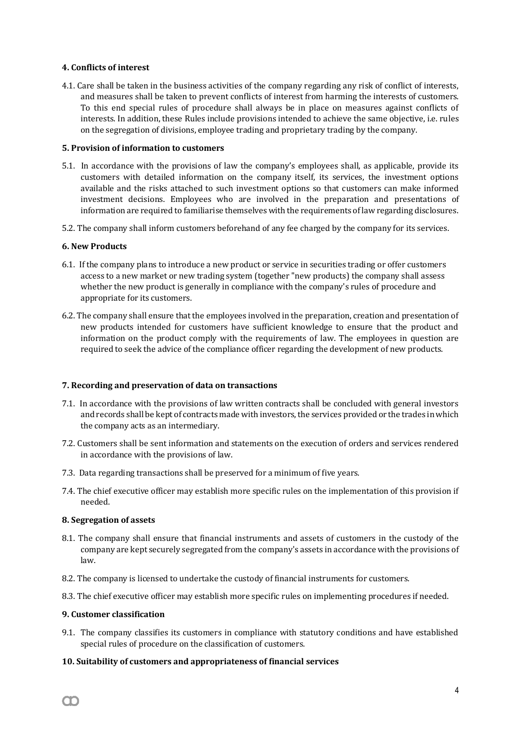## **4. Conflicts of interest**

4.1. Care shall be taken in the business activities of the company regarding any risk of conflict of interests, and measures shall be taken to prevent conflicts of interest from harming the interests of customers. To this end special rules of procedure shall always be in place on measures against conflicts of interests. In addition, these Rules include provisions intended to achieve the same objective, i.e. rules on the segregation of divisions, employee trading and proprietary trading by the company.

## **5. Provision of information to customers**

- 5.1. In accordance with the provisions of law the company's employees shall, as applicable, provide its customers with detailed information on the company itself, its services, the investment options available and the risks attached to such investment options so that customers can make informed investment decisions. Employees who are involved in the preparation and presentations of information are required to familiarise themselves with the requirements of law regarding disclosures.
- 5.2. The company shall inform customers beforehand of any fee charged by the company for its services.

# **6. New Products**

- 6.1. If the company plans to introduce a new product or service in securities trading or offer customers access to a new market or new trading system (together "new products) the company shall assess whether the new product is generally in compliance with the company's rules of procedure and appropriate for its customers.
- 6.2. The company shall ensure that the employees involved in the preparation, creation and presentation of new products intended for customers have sufficient knowledge to ensure that the product and information on the product comply with the requirements of law. The employees in question are required to seek the advice of the compliance officer regarding the development of new products.

## **7. Recording and preservation of data on transactions**

- 7.1. In accordance with the provisions of law written contracts shall be concluded with general investors and records shall be kept of contracts made with investors, the services provided or the trades in which the company acts as an intermediary.
- 7.2. Customers shall be sent information and statements on the execution of orders and services rendered in accordance with the provisions of law.
- 7.3. Data regarding transactions shall be preserved for a minimum of five years.
- 7.4. The chief executive officer may establish more specific rules on the implementation of this provision if needed.

## **8. Segregation of assets**

- 8.1. The company shall ensure that financial instruments and assets of customers in the custody of the company are kept securely segregated from the company's assets in accordance with the provisions of law.
- 8.2. The company is licensed to undertake the custody of financial instruments for customers.
- 8.3. The chief executive officer may establish more specific rules on implementing procedures if needed.

# **9. Customer classification**

9.1. The company classifies its customers in compliance with statutory conditions and have established special rules of procedure on the classification of customers.

# **10. Suitability of customers and appropriateness of financial services**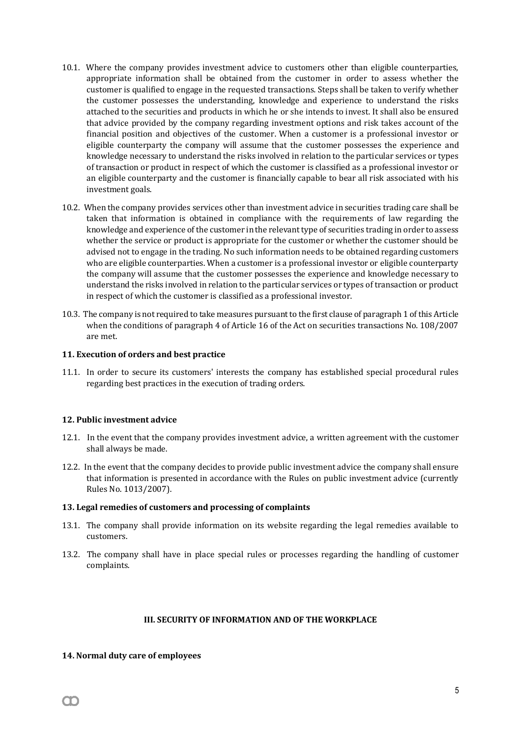- 10.1. Where the company provides investment advice to customers other than eligible counterparties, appropriate information shall be obtained from the customer in order to assess whether the customer is qualified to engage in the requested transactions. Steps shall be taken to verify whether the customer possesses the understanding, knowledge and experience to understand the risks attached to the securities and products in which he or she intends to invest. It shall also be ensured that advice provided by the company regarding investment options and risk takes account of the financial position and objectives of the customer. When a customer is a professional investor or eligible counterparty the company will assume that the customer possesses the experience and knowledge necessary to understand the risks involved in relation to the particular services or types of transaction or product in respect of which the customer is classified as a professional investor or an eligible counterparty and the customer is financially capable to bear all risk associated with his investment goals.
- 10.2. When the company provides services other than investment advice in securities trading care shall be taken that information is obtained in compliance with the requirements of law regarding the knowledge and experience of the customer in the relevant type of securities trading in order to assess whether the service or product is appropriate for the customer or whether the customer should be advised not to engage in the trading. No such information needs to be obtained regarding customers who are eligible counterparties. When a customer is a professional investor or eligible counterparty the company will assume that the customer possesses the experience and knowledge necessary to understand the risks involved in relation to the particular services or types of transaction or product in respect of which the customer is classified as a professional investor.
- 10.3. The company is not required to take measures pursuant to the first clause of paragraph 1 of this Article when the conditions of paragraph 4 of Article 16 of the Act on securities transactions No. 108/2007 are met.

# **11. Execution of orders and best practice**

11.1. In order to secure its customers' interests the company has established special procedural rules regarding best practices in the execution of trading orders.

# **12. Public investment advice**

- 12.1. In the event that the company provides investment advice, a written agreement with the customer shall always be made.
- 12.2. In the event that the company decides to provide public investment advice the company shall ensure that information is presented in accordance with the Rules on public investment advice (currently Rules No. 1013/2007).

## **13. Legal remedies of customers and processing of complaints**

- 13.1. The company shall provide information on its website regarding the legal remedies available to customers.
- 13.2. The company shall have in place special rules or processes regarding the handling of customer complaints.

# **III. SECURITY OF INFORMATION AND OF THE WORKPLACE**

# **14. Normal duty care of employees**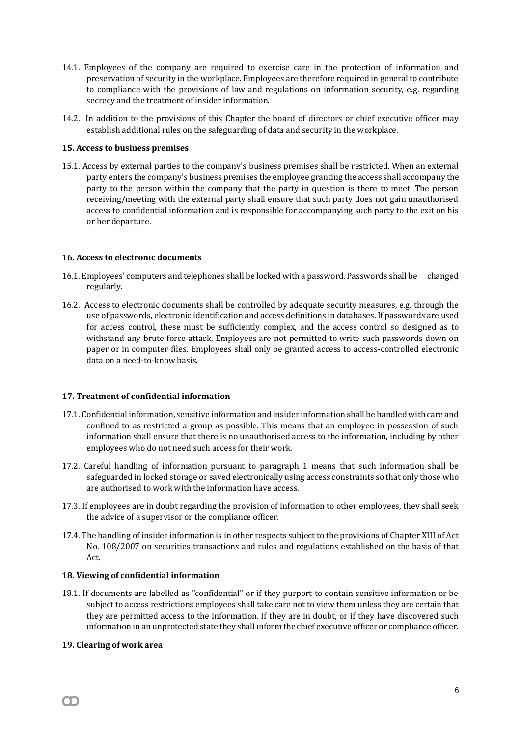- 14.1. Employees of the company are required to exercise care in the protection of information and preservation of security in the workplace. Employees are therefore required in general to contribute to compliance with the provisions of law and regulations on information security, e.g. regarding secrecy and the treatment of insider information.
- 14.2. In addition to the provisions of this Chapter the board of directors or chief executive officer may establish additional rules on the safeguarding of data and security in the workplace.

# **15. Access to business premises**

15.1. Access by external parties to the company's business premises shall be restricted. When an external party enters the company's business premises the employee granting the access shall accompany the party to the person within the company that the party in question is there to meet. The person receiving/meeting with the external party shall ensure that such party does not gain unauthorised access to confidential information and is responsible for accompanying such party to the exit on his or her departure.

# **16. Access to electronic documents**

- 16.1. Employees' computers and telephones shall be locked with a password. Passwords shall be changed regularly.
- 16.2. Access to electronic documents shall be controlled by adequate security measures, e.g. through the use of passwords, electronic identification and access definitions in databases. If passwords are used for access control, these must be sufficiently complex, and the access control so designed as to withstand any brute force attack. Employees are not permitted to write such passwords down on paper or in computer files. Employees shall only be granted access to access-controlled electronic data on a need-to-know basis.

# **17. Treatment of confidential information**

- 17.1. Confidential information, sensitive information and insider information shall be handled with care and confined to as restricted a group as possible. This means that an employee in possession of such information shall ensure that there is no unauthorised access to the information, including by other employees who do not need such access for their work.
- 17.2. Careful handling of information pursuant to paragraph 1 means that such information shall be safeguarded in locked storage or saved electronically using access constraints so that only those who are authorised to work with the information have access.
- 17.3. If employees are in doubt regarding the provision of information to other employees, they shall seek the advice of a supervisor or the compliance officer.
- 17.4. The handling of insider information is in other respects subject to the provisions of Chapter XIII of Act No. 108/2007 on securities transactions and rules and regulations established on the basis of that Act.

## **18. Viewing of confidential information**

18.1. If documents are labelled as "confidential" or if they purport to contain sensitive information or be subject to access restrictions employees shall take care not to view them unless they are certain that they are permitted access to the information. If they are in doubt, or if they have discovered such information in an unprotected state they shall inform the chief executive officer or compliance officer.

## **19. Clearing of work area**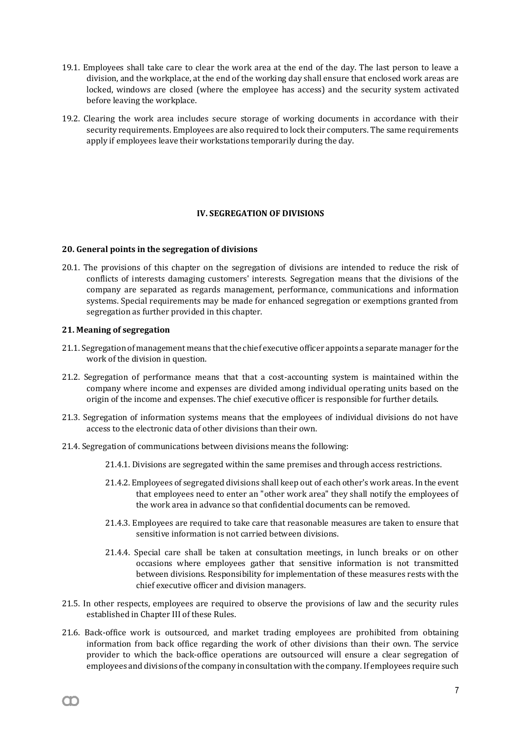- 19.1. Employees shall take care to clear the work area at the end of the day. The last person to leave a division, and the workplace, at the end of the working day shall ensure that enclosed work areas are locked, windows are closed (where the employee has access) and the security system activated before leaving the workplace.
- 19.2. Clearing the work area includes secure storage of working documents in accordance with their security requirements. Employees are also required to lock their computers. The same requirements apply if employees leave their workstations temporarily during the day.

# **IV. SEGREGATION OF DIVISIONS**

#### **20. General points in the segregation of divisions**

20.1. The provisions of this chapter on the segregation of divisions are intended to reduce the risk of conflicts of interests damaging customers' interests. Segregation means that the divisions of the company are separated as regards management, performance, communications and information systems. Special requirements may be made for enhanced segregation or exemptions granted from segregation as further provided in this chapter.

## **21. Meaning of segregation**

- 21.1. Segregation of management means that the chief executive officer appoints a separate manager for the work of the division in question.
- 21.2. Segregation of performance means that that a cost-accounting system is maintained within the company where income and expenses are divided among individual operating units based on the origin of the income and expenses. The chief executive officer is responsible for further details.
- 21.3. Segregation of information systems means that the employees of individual divisions do not have access to the electronic data of other divisions than their own.
- 21.4. Segregation of communications between divisions means the following:
	- 21.4.1. Divisions are segregated within the same premises and through access restrictions.
	- 21.4.2. Employees of segregated divisions shall keep out of each other's work areas. In the event that employees need to enter an "other work area" they shall notify the employees of the work area in advance so that confidential documents can be removed.
	- 21.4.3. Employees are required to take care that reasonable measures are taken to ensure that sensitive information is not carried between divisions.
	- 21.4.4. Special care shall be taken at consultation meetings, in lunch breaks or on other occasions where employees gather that sensitive information is not transmitted between divisions. Responsibility for implementation of these measures rests with the chief executive officer and division managers.
- 21.5. In other respects, employees are required to observe the provisions of law and the security rules established in Chapter III of these Rules.
- 21.6. Back-office work is outsourced, and market trading employees are prohibited from obtaining information from back office regarding the work of other divisions than their own. The service provider to which the back-office operations are outsourced will ensure a clear segregation of employees and divisions of the company in consultation with the company. If employees require such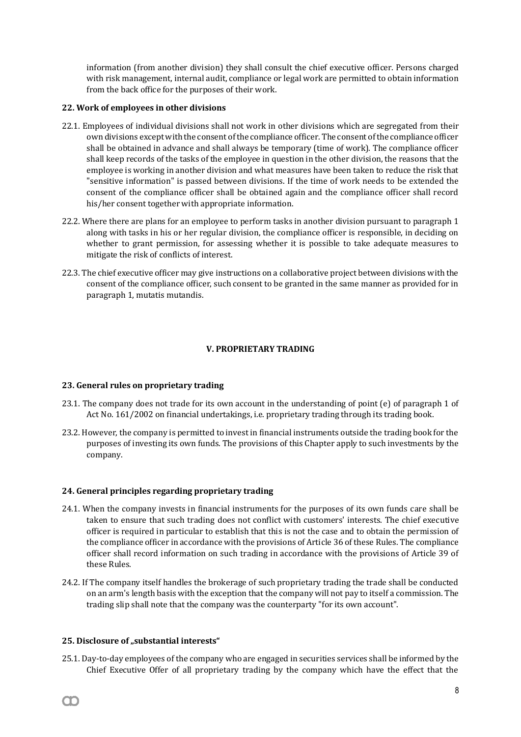information (from another division) they shall consult the chief executive officer. Persons charged with risk management, internal audit, compliance or legal work are permitted to obtain information from the back office for the purposes of their work.

## **22. Work of employees in other divisions**

- 22.1. Employees of individual divisions shall not work in other divisions which are segregated from their own divisions except with the consent of the compliance officer. The consent of the compliance officer shall be obtained in advance and shall always be temporary (time of work). The compliance officer shall keep records of the tasks of the employee in question in the other division, the reasons that the employee is working in another division and what measures have been taken to reduce the risk that "sensitive information" is passed between divisions. If the time of work needs to be extended the consent of the compliance officer shall be obtained again and the compliance officer shall record his/her consent together with appropriate information.
- 22.2. Where there are plans for an employee to perform tasks in another division pursuant to paragraph 1 along with tasks in his or her regular division, the compliance officer is responsible, in deciding on whether to grant permission, for assessing whether it is possible to take adequate measures to mitigate the risk of conflicts of interest.
- 22.3. The chief executive officer may give instructions on a collaborative project between divisions with the consent of the compliance officer, such consent to be granted in the same manner as provided for in paragraph 1, mutatis mutandis.

# **V. PROPRIETARY TRADING**

## **23. General rules on proprietary trading**

- 23.1. The company does not trade for its own account in the understanding of point (e) of paragraph 1 of Act No. 161/2002 on financial undertakings, i.e. proprietary trading through its trading book.
- 23.2. However, the company is permitted to invest in financial instruments outside the trading book for the purposes of investing its own funds. The provisions of this Chapter apply to such investments by the company.

## **24. General principles regarding proprietary trading**

- 24.1. When the company invests in financial instruments for the purposes of its own funds care shall be taken to ensure that such trading does not conflict with customers' interests. The chief executive officer is required in particular to establish that this is not the case and to obtain the permission of the compliance officer in accordance with the provisions of Article 36 of these Rules. The compliance officer shall record information on such trading in accordance with the provisions of Article 39 of these Rules.
- 24.2. If The company itself handles the brokerage of such proprietary trading the trade shall be conducted on an arm's length basis with the exception that the company will not pay to itself a commission. The trading slip shall note that the company was the counterparty "for its own account".

## 25. Disclosure of "substantial interests"

25.1. Day-to-day employees of the company who are engaged in securities services shall be informed by the Chief Executive Offer of all proprietary trading by the company which have the effect that the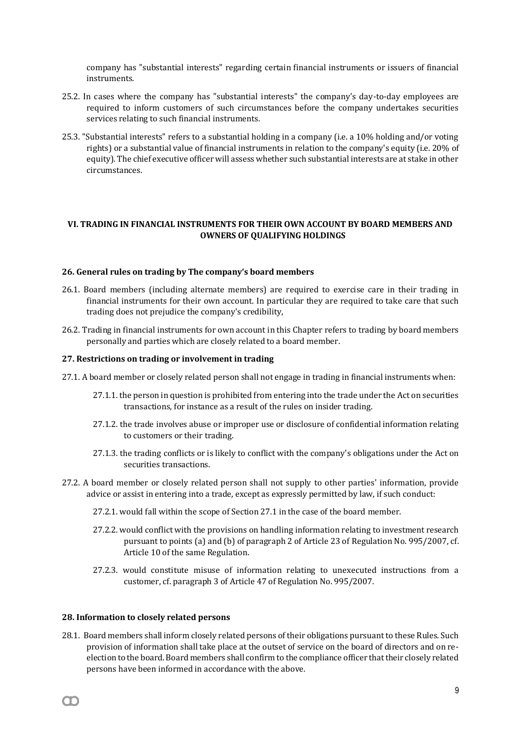company has "substantial interests" regarding certain financial instruments or issuers of financial instruments.

- 25.2. In cases where the company has "substantial interests" the company's day-to-day employees are required to inform customers of such circumstances before the company undertakes securities services relating to such financial instruments.
- 25.3. "Substantial interests" refers to a substantial holding in a company (i.e. a 10% holding and/or voting rights) or a substantial value of financial instruments in relation to the company's equity (i.e. 20% of equity). The chief executive officer will assess whether such substantial interests are at stake in other circumstances.

# **VI. TRADING IN FINANCIAL INSTRUMENTS FOR THEIR OWN ACCOUNT BY BOARD MEMBERS AND OWNERS OF QUALIFYING HOLDINGS**

#### **26. General rules on trading by The company's board members**

- 26.1. Board members (including alternate members) are required to exercise care in their trading in financial instruments for their own account. In particular they are required to take care that such trading does not prejudice the company's credibility,
- 26.2. Trading in financial instruments for own account in this Chapter refers to trading by board members personally and parties which are closely related to a board member.

#### **27. Restrictions on trading or involvement in trading**

- 27.1. A board member or closely related person shall not engage in trading in financial instruments when:
	- 27.1.1. the person in question is prohibited from entering into the trade under the Act on securities transactions, for instance as a result of the rules on insider trading.
	- 27.1.2. the trade involves abuse or improper use or disclosure of confidential information relating to customers or their trading.
	- 27.1.3. the trading conflicts or is likely to conflict with the company's obligations under the Act on securities transactions.
- 27.2. A board member or closely related person shall not supply to other parties' information, provide advice or assist in entering into a trade, except as expressly permitted by law, if such conduct:
	- 27.2.1. would fall within the scope of Section 27.1 in the case of the board member.
	- 27.2.2. would conflict with the provisions on handling information relating to investment research pursuant to points (a) and (b) of paragraph 2 of Article 23 of Regulation No. 995/2007, cf. Article 10 of the same Regulation.
	- 27.2.3. would constitute misuse of information relating to unexecuted instructions from a customer, cf. paragraph 3 of Article 47 of Regulation No. 995/2007.

## **28. Information to closely related persons**

28.1. Board members shall inform closely related persons of their obligations pursuant to these Rules. Such provision of information shall take place at the outset of service on the board of directors and on reelection to the board. Board members shall confirm to the compliance officer that their closely related persons have been informed in accordance with the above.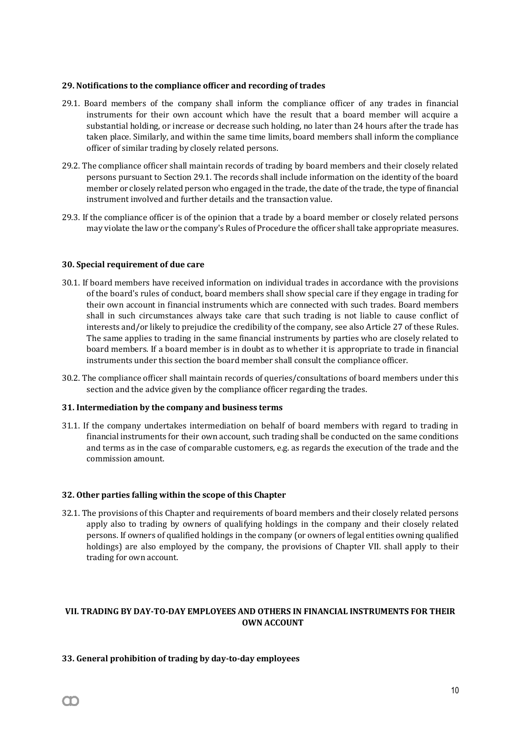## **29. Notifications to the compliance officer and recording of trades**

- 29.1. Board members of the company shall inform the compliance officer of any trades in financial instruments for their own account which have the result that a board member will acquire a substantial holding, or increase or decrease such holding, no later than 24 hours after the trade has taken place. Similarly, and within the same time limits, board members shall inform the compliance officer of similar trading by closely related persons.
- 29.2. The compliance officer shall maintain records of trading by board members and their closely related persons pursuant to Section 29.1. The records shall include information on the identity of the board member or closely related person who engaged in the trade, the date of the trade, the type of financial instrument involved and further details and the transaction value.
- 29.3. If the compliance officer is of the opinion that a trade by a board member or closely related persons may violate the law or the company's Rules of Procedure the officer shall take appropriate measures.

# **30. Special requirement of due care**

- 30.1. If board members have received information on individual trades in accordance with the provisions of the board's rules of conduct, board members shall show special care if they engage in trading for their own account in financial instruments which are connected with such trades. Board members shall in such circumstances always take care that such trading is not liable to cause conflict of interests and/or likely to prejudice the credibility of the company, see also Article 27 of these Rules. The same applies to trading in the same financial instruments by parties who are closely related to board members. If a board member is in doubt as to whether it is appropriate to trade in financial instruments under this section the board member shall consult the compliance officer.
- 30.2. The compliance officer shall maintain records of queries/consultations of board members under this section and the advice given by the compliance officer regarding the trades.

## **31. Intermediation by the company and business terms**

31.1. If the company undertakes intermediation on behalf of board members with regard to trading in financial instruments for their own account, such trading shall be conducted on the same conditions and terms as in the case of comparable customers, e.g. as regards the execution of the trade and the commission amount.

# **32. Other parties falling within the scope of this Chapter**

32.1. The provisions of this Chapter and requirements of board members and their closely related persons apply also to trading by owners of qualifying holdings in the company and their closely related persons. If owners of qualified holdings in the company (or owners of legal entities owning qualified holdings) are also employed by the company, the provisions of Chapter VII. shall apply to their trading for own account.

# **VII. TRADING BY DAY-TO-DAY EMPLOYEES AND OTHERS IN FINANCIAL INSTRUMENTS FOR THEIR OWN ACCOUNT**

## **33. General prohibition of trading by day-to-day employees**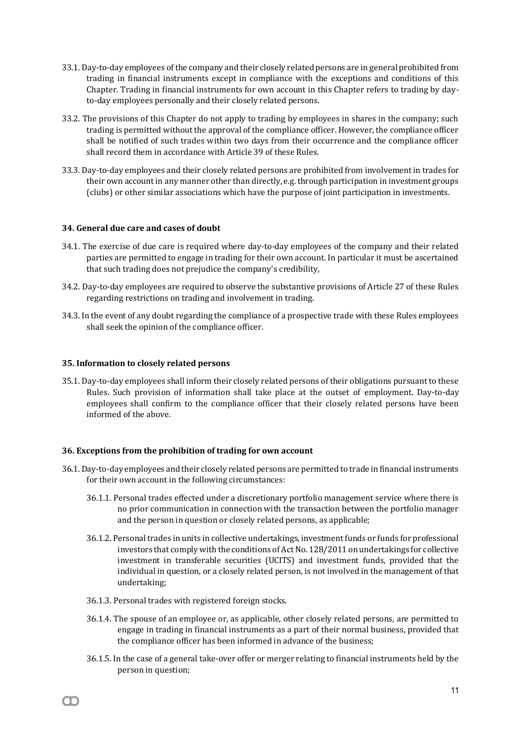- 33.1. Day-to-day employees of the company and their closely related persons are in general prohibited from trading in financial instruments except in compliance with the exceptions and conditions of this Chapter. Trading in financial instruments for own account in this Chapter refers to trading by dayto-day employees personally and their closely related persons.
- 33.2. The provisions of this Chapter do not apply to trading by employees in shares in the company; such trading is permitted without the approval of the compliance officer. However, the compliance officer shall be notified of such trades within two days from their occurrence and the compliance officer shall record them in accordance with Article 39 of these Rules.
- 33.3. Day-to-day employees and their closely related persons are prohibited from involvement in trades for their own account in any manner other than directly, e.g. through participation in investment groups (clubs) or other similar associations which have the purpose of joint participation in investments.

# **34. General due care and cases of doubt**

- 34.1. The exercise of due care is required where day-to-day employees of the company and their related parties are permitted to engage in trading for their own account. In particular it must be ascertained that such trading does not prejudice the company's credibility,
- 34.2. Day-to-day employees are required to observe the substantive provisions of Article 27 of these Rules regarding restrictions on trading and involvement in trading.
- 34.3. In the event of any doubt regarding the compliance of a prospective trade with these Rules employees shall seek the opinion of the compliance officer.

## **35. Information to closely related persons**

35.1. Day-to-day employees shall inform their closely related persons of their obligations pursuant to these Rules. Such provision of information shall take place at the outset of employment. Day-to-day employees shall confirm to the compliance officer that their closely related persons have been informed of the above.

## **36. Exceptions from the prohibition of trading for own account**

- 36.1. Day-to-day employees and their closely related persons are permitted to trade in financial instruments for their own account in the following circumstances:
	- 36.1.1. Personal trades effected under a discretionary portfolio management service where there is no prior communication in connection with the transaction between the portfolio manager and the person in question or closely related persons, as applicable;
	- 36.1.2. Personal trades in units in collective undertakings, investment funds or funds for professional investors that comply with the conditions of Act No. 128/2011 on undertakings for collective investment in transferable securities (UCITS) and investment funds, provided that the individual in question, or a closely related person, is not involved in the management of that undertaking;
	- 36.1.3. Personal trades with registered foreign stocks.

- 36.1.4. The spouse of an employee or, as applicable, other closely related persons, are permitted to engage in trading in financial instruments as a part of their normal business, provided that the compliance officer has been informed in advance of the business;
- 36.1.5. In the case of a general take-over offer or merger relating to financial instruments held by the person in question;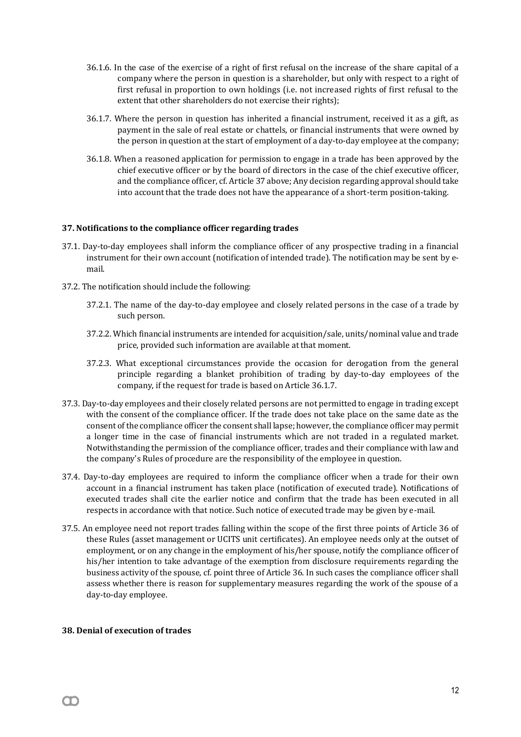- 36.1.6. In the case of the exercise of a right of first refusal on the increase of the share capital of a company where the person in question is a shareholder, but only with respect to a right of first refusal in proportion to own holdings (i.e. not increased rights of first refusal to the extent that other shareholders do not exercise their rights);
- 36.1.7. Where the person in question has inherited a financial instrument, received it as a gift, as payment in the sale of real estate or chattels, or financial instruments that were owned by the person in question at the start of employment of a day-to-day employee at the company;
- 36.1.8. When a reasoned application for permission to engage in a trade has been approved by the chief executive officer or by the board of directors in the case of the chief executive officer, and the compliance officer, cf. Article 37 above; Any decision regarding approval should take into account that the trade does not have the appearance of a short-term position-taking.

# **37. Notifications to the compliance officer regarding trades**

- 37.1. Day-to-day employees shall inform the compliance officer of any prospective trading in a financial instrument for their own account (notification of intended trade). The notification may be sent by email.
- 37.2. The notification should include the following:
	- 37.2.1. The name of the day-to-day employee and closely related persons in the case of a trade by such person.
	- 37.2.2. Which financial instruments are intended for acquisition/sale, units/nominal value and trade price, provided such information are available at that moment.
	- 37.2.3. What exceptional circumstances provide the occasion for derogation from the general principle regarding a blanket prohibition of trading by day-to-day employees of the company, if the request for trade is based on Article 36.1.7.
- 37.3. Day-to-day employees and their closely related persons are not permitted to engage in trading except with the consent of the compliance officer. If the trade does not take place on the same date as the consent of the compliance officer the consent shall lapse; however, the compliance officer may permit a longer time in the case of financial instruments which are not traded in a regulated market. Notwithstanding the permission of the compliance officer, trades and their compliance with law and the company's Rules of procedure are the responsibility of the employee in question.
- 37.4. Day-to-day employees are required to inform the compliance officer when a trade for their own account in a financial instrument has taken place (notification of executed trade). Notifications of executed trades shall cite the earlier notice and confirm that the trade has been executed in all respects in accordance with that notice. Such notice of executed trade may be given by e-mail.
- 37.5. An employee need not report trades falling within the scope of the first three points of Article 36 of these Rules (asset management or UCITS unit certificates). An employee needs only at the outset of employment, or on any change in the employment of his/her spouse, notify the compliance officer of his/her intention to take advantage of the exemption from disclosure requirements regarding the business activity of the spouse, cf. point three of Article 36. In such cases the compliance officer shall assess whether there is reason for supplementary measures regarding the work of the spouse of a day-to-day employee.

## **38. Denial of execution of trades**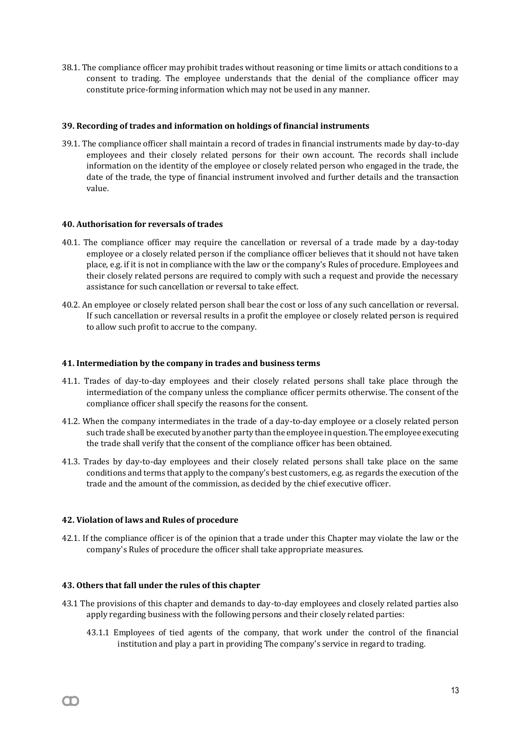38.1. The compliance officer may prohibit trades without reasoning or time limits or attach conditions to a consent to trading. The employee understands that the denial of the compliance officer may constitute price-forming information which may not be used in any manner.

# **39. Recording of trades and information on holdings of financial instruments**

39.1. The compliance officer shall maintain a record of trades in financial instruments made by day-to-day employees and their closely related persons for their own account. The records shall include information on the identity of the employee or closely related person who engaged in the trade, the date of the trade, the type of financial instrument involved and further details and the transaction value.

# **40. Authorisation for reversals of trades**

- 40.1. The compliance officer may require the cancellation or reversal of a trade made by a day-today employee or a closely related person if the compliance officer believes that it should not have taken place, e.g. if it is not in compliance with the law or the company's Rules of procedure. Employees and their closely related persons are required to comply with such a request and provide the necessary assistance for such cancellation or reversal to take effect.
- 40.2. An employee or closely related person shall bear the cost or loss of any such cancellation or reversal. If such cancellation or reversal results in a profit the employee or closely related person is required to allow such profit to accrue to the company.

## **41. Intermediation by the company in trades and business terms**

- 41.1. Trades of day-to-day employees and their closely related persons shall take place through the intermediation of the company unless the compliance officer permits otherwise. The consent of the compliance officer shall specify the reasons for the consent.
- 41.2. When the company intermediates in the trade of a day-to-day employee or a closely related person such trade shall be executed by another party than the employee in question. The employee executing the trade shall verify that the consent of the compliance officer has been obtained.
- 41.3. Trades by day-to-day employees and their closely related persons shall take place on the same conditions and terms that apply to the company's best customers, e.g. as regards the execution of the trade and the amount of the commission, as decided by the chief executive officer.

## **42. Violation of laws and Rules of procedure**

42.1. If the compliance officer is of the opinion that a trade under this Chapter may violate the law or the company's Rules of procedure the officer shall take appropriate measures.

## **43. Others that fall under the rules of this chapter**

- 43.1 The provisions of this chapter and demands to day-to-day employees and closely related parties also apply regarding business with the following persons and their closely related parties:
	- 43.1.1 Employees of tied agents of the company, that work under the control of the financial institution and play a part in providing The company's service in regard to trading.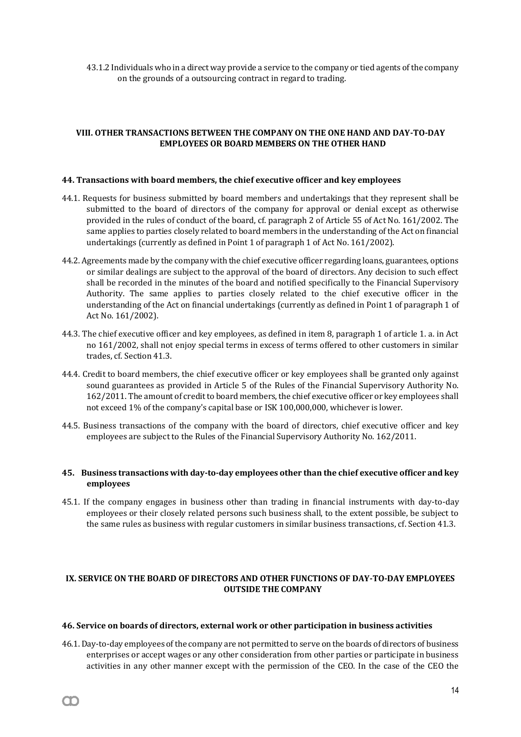43.1.2 Individuals who in a direct way provide a service to the company or tied agents of the company on the grounds of a outsourcing contract in regard to trading.

# **VIII. OTHER TRANSACTIONS BETWEEN THE COMPANY ON THE ONE HAND AND DAY-TO-DAY EMPLOYEES OR BOARD MEMBERS ON THE OTHER HAND**

#### **44. Transactions with board members, the chief executive officer and key employees**

- 44.1. Requests for business submitted by board members and undertakings that they represent shall be submitted to the board of directors of the company for approval or denial except as otherwise provided in the rules of conduct of the board, cf. paragraph 2 of Article 55 of Act No. 161/2002. The same applies to parties closely related to board members in the understanding of the Act on financial undertakings (currently as defined in Point 1 of paragraph 1 of Act No. 161/2002).
- 44.2. Agreements made by the company with the chief executive officer regarding loans, guarantees, options or similar dealings are subject to the approval of the board of directors. Any decision to such effect shall be recorded in the minutes of the board and notified specifically to the Financial Supervisory Authority. The same applies to parties closely related to the chief executive officer in the understanding of the Act on financial undertakings (currently as defined in Point 1 of paragraph 1 of Act No. 161/2002).
- 44.3. The chief executive officer and key employees, as defined in item 8, paragraph 1 of article 1. a. in Act no 161/2002, shall not enjoy special terms in excess of terms offered to other customers in similar trades, cf. Section 41.3.
- 44.4. Credit to board members, the chief executive officer or key employees shall be granted only against sound guarantees as provided in Article 5 of the Rules of the Financial Supervisory Authority No. 162/2011. The amount of credit to board members, the chief executive officer or key employees shall not exceed 1% of the company's capital base or ISK 100,000,000, whichever is lower.
- 44.5. Business transactions of the company with the board of directors, chief executive officer and key employees are subject to the Rules of the Financial Supervisory Authority No. 162/2011.

# **45. Business transactions with day-to-day employees other than the chief executive officer and key employees**

45.1. If the company engages in business other than trading in financial instruments with day-to-day employees or their closely related persons such business shall, to the extent possible, be subject to the same rules as business with regular customers in similar business transactions, cf. Section 41.3.

# **IX. SERVICE ON THE BOARD OF DIRECTORS AND OTHER FUNCTIONS OF DAY-TO-DAY EMPLOYEES OUTSIDE THE COMPANY**

#### **46. Service on boards of directors, external work or other participation in business activities**

 $\infty$ 

46.1. Day-to-day employees of the company are not permitted to serve on the boards of directors of business enterprises or accept wages or any other consideration from other parties or participate in business activities in any other manner except with the permission of the CEO. In the case of the CEO the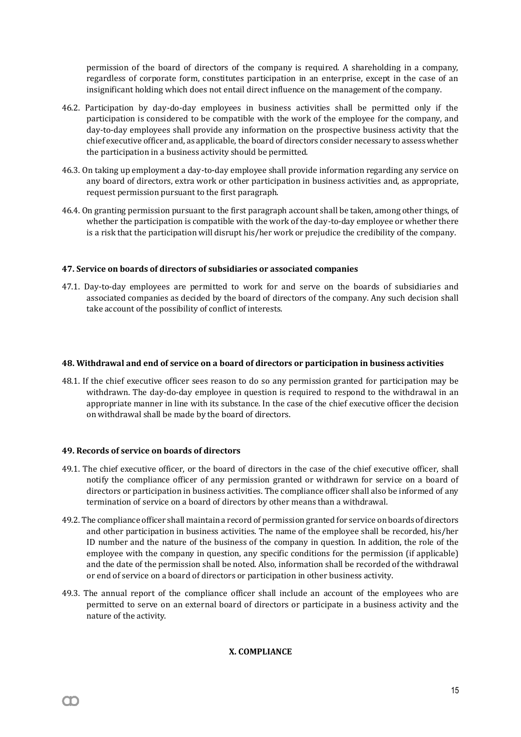permission of the board of directors of the company is required. A shareholding in a company, regardless of corporate form, constitutes participation in an enterprise, except in the case of an insignificant holding which does not entail direct influence on the management of the company.

- 46.2. Participation by day-do-day employees in business activities shall be permitted only if the participation is considered to be compatible with the work of the employee for the company, and day-to-day employees shall provide any information on the prospective business activity that the chief executive officer and, as applicable, the board of directors consider necessary to assess whether the participation in a business activity should be permitted.
- 46.3. On taking up employment a day-to-day employee shall provide information regarding any service on any board of directors, extra work or other participation in business activities and, as appropriate, request permission pursuant to the first paragraph.
- 46.4. On granting permission pursuant to the first paragraph account shall be taken, among other things, of whether the participation is compatible with the work of the day-to-day employee or whether there is a risk that the participation will disrupt his/her work or prejudice the credibility of the company.

# **47. Service on boards of directors of subsidiaries or associated companies**

47.1. Day-to-day employees are permitted to work for and serve on the boards of subsidiaries and associated companies as decided by the board of directors of the company. Any such decision shall take account of the possibility of conflict of interests.

# **48. Withdrawal and end of service on a board of directors or participation in business activities**

48.1. If the chief executive officer sees reason to do so any permission granted for participation may be withdrawn. The day-do-day employee in question is required to respond to the withdrawal in an appropriate manner in line with its substance. In the case of the chief executive officer the decision on withdrawal shall be made by the board of directors.

# **49. Records of service on boards of directors**

m

- 49.1. The chief executive officer, or the board of directors in the case of the chief executive officer, shall notify the compliance officer of any permission granted or withdrawn for service on a board of directors or participation in business activities. The compliance officer shall also be informed of any termination of service on a board of directors by other means than a withdrawal.
- 49.2. The compliance officer shall maintain a record of permission granted for service on boards of directors and other participation in business activities. The name of the employee shall be recorded, his/her ID number and the nature of the business of the company in question. In addition, the role of the employee with the company in question, any specific conditions for the permission (if applicable) and the date of the permission shall be noted. Also, information shall be recorded of the withdrawal or end of service on a board of directors or participation in other business activity.
- 49.3. The annual report of the compliance officer shall include an account of the employees who are permitted to serve on an external board of directors or participate in a business activity and the nature of the activity.

# **X. COMPLIANCE**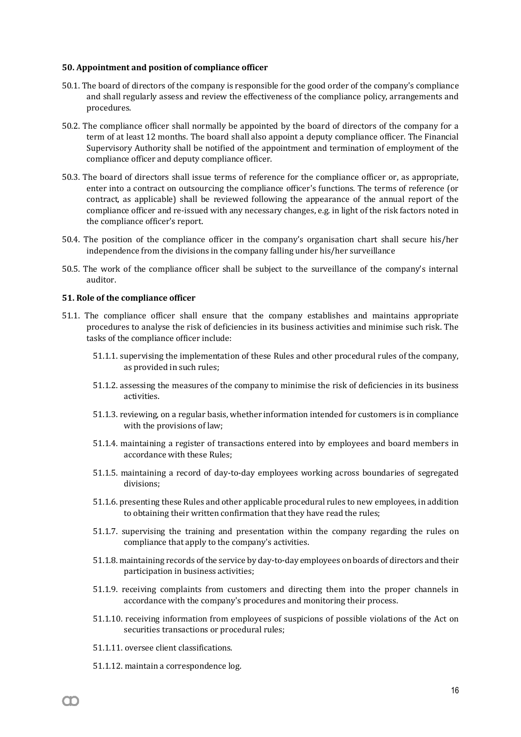#### **50. Appointment and position of compliance officer**

- 50.1. The board of directors of the company is responsible for the good order of the company's compliance and shall regularly assess and review the effectiveness of the compliance policy, arrangements and procedures.
- 50.2. The compliance officer shall normally be appointed by the board of directors of the company for a term of at least 12 months. The board shall also appoint a deputy compliance officer. The Financial Supervisory Authority shall be notified of the appointment and termination of employment of the compliance officer and deputy compliance officer.
- 50.3. The board of directors shall issue terms of reference for the compliance officer or, as appropriate, enter into a contract on outsourcing the compliance officer's functions. The terms of reference (or contract, as applicable) shall be reviewed following the appearance of the annual report of the compliance officer and re-issued with any necessary changes, e.g. in light of the risk factors noted in the compliance officer's report.
- 50.4. The position of the compliance officer in the company's organisation chart shall secure his/her independence from the divisions in the company falling under his/her surveillance
- 50.5. The work of the compliance officer shall be subject to the surveillance of the company's internal auditor.

#### **51. Role of the compliance officer**

- 51.1. The compliance officer shall ensure that the company establishes and maintains appropriate procedures to analyse the risk of deficiencies in its business activities and minimise such risk. The tasks of the compliance officer include:
	- 51.1.1. supervising the implementation of these Rules and other procedural rules of the company, as provided in such rules;
	- 51.1.2. assessing the measures of the company to minimise the risk of deficiencies in its business activities.
	- 51.1.3. reviewing, on a regular basis, whether information intended for customers is in compliance with the provisions of law;
	- 51.1.4. maintaining a register of transactions entered into by employees and board members in accordance with these Rules;
	- 51.1.5. maintaining a record of day-to-day employees working across boundaries of segregated divisions;
	- 51.1.6. presenting these Rules and other applicable procedural rules to new employees, in addition to obtaining their written confirmation that they have read the rules;
	- 51.1.7. supervising the training and presentation within the company regarding the rules on compliance that apply to the company's activities.
	- 51.1.8. maintaining records of the service by day-to-day employees on boards of directors and their participation in business activities;
	- 51.1.9. receiving complaints from customers and directing them into the proper channels in accordance with the company's procedures and monitoring their process.
	- 51.1.10. receiving information from employees of suspicions of possible violations of the Act on securities transactions or procedural rules;
	- 51.1.11. oversee client classifications.
	- 51.1.12. maintain a correspondence log.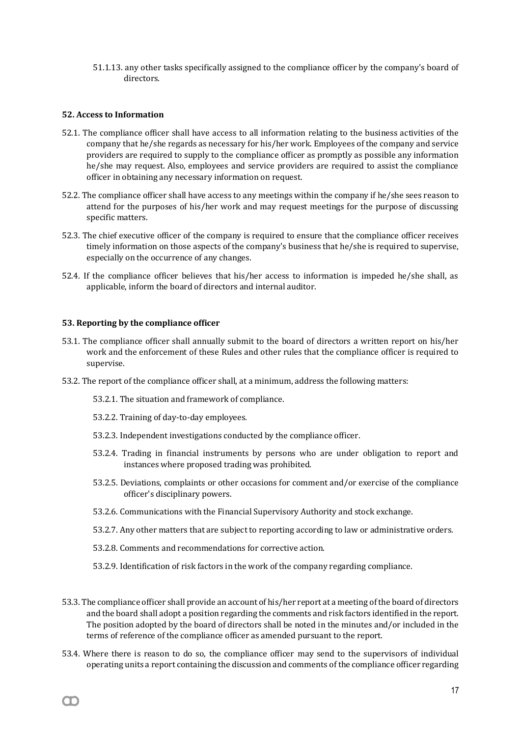51.1.13. any other tasks specifically assigned to the compliance officer by the company's board of directors.

## **52. Access to Information**

- 52.1. The compliance officer shall have access to all information relating to the business activities of the company that he/she regards as necessary for his/her work. Employees of the company and service providers are required to supply to the compliance officer as promptly as possible any information he/she may request. Also, employees and service providers are required to assist the compliance officer in obtaining any necessary information on request.
- 52.2. The compliance officer shall have access to any meetings within the company if he/she sees reason to attend for the purposes of his/her work and may request meetings for the purpose of discussing specific matters.
- 52.3. The chief executive officer of the company is required to ensure that the compliance officer receives timely information on those aspects of the company's business that he/she is required to supervise, especially on the occurrence of any changes.
- 52.4. If the compliance officer believes that his/her access to information is impeded he/she shall, as applicable, inform the board of directors and internal auditor.

## **53. Reporting by the compliance officer**

- 53.1. The compliance officer shall annually submit to the board of directors a written report on his/her work and the enforcement of these Rules and other rules that the compliance officer is required to supervise.
- 53.2. The report of the compliance officer shall, at a minimum, address the following matters:
	- 53.2.1. The situation and framework of compliance.
	- 53.2.2. Training of day-to-day employees.
	- 53.2.3. Independent investigations conducted by the compliance officer.
	- 53.2.4. Trading in financial instruments by persons who are under obligation to report and instances where proposed trading was prohibited.
	- 53.2.5. Deviations, complaints or other occasions for comment and/or exercise of the compliance officer's disciplinary powers.
	- 53.2.6. Communications with the Financial Supervisory Authority and stock exchange.
	- 53.2.7. Any other matters that are subject to reporting according to law or administrative orders.
	- 53.2.8. Comments and recommendations for corrective action.
	- 53.2.9. Identification of risk factors in the work of the company regarding compliance.
- 53.3. The compliance officer shall provide an account of his/her report at a meeting of the board of directors and the board shall adopt a position regarding the comments and risk factors identified in the report. The position adopted by the board of directors shall be noted in the minutes and/or included in the terms of reference of the compliance officer as amended pursuant to the report.
- 53.4. Where there is reason to do so, the compliance officer may send to the supervisors of individual operating units a report containing the discussion and comments of the compliance officer regarding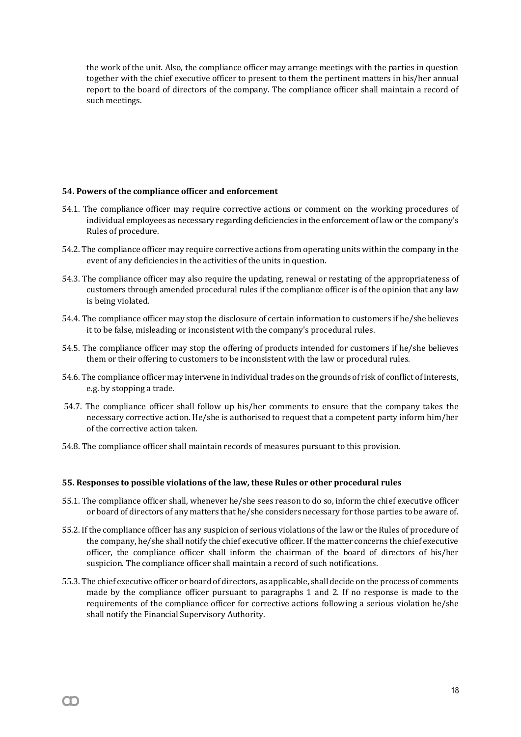the work of the unit. Also, the compliance officer may arrange meetings with the parties in question together with the chief executive officer to present to them the pertinent matters in his/her annual report to the board of directors of the company. The compliance officer shall maintain a record of such meetings.

## **54. Powers of the compliance officer and enforcement**

m

- 54.1. The compliance officer may require corrective actions or comment on the working procedures of individual employees as necessary regarding deficiencies in the enforcement of law or the company's Rules of procedure.
- 54.2. The compliance officer may require corrective actions from operating units within the company in the event of any deficiencies in the activities of the units in question.
- 54.3. The compliance officer may also require the updating, renewal or restating of the appropriateness of customers through amended procedural rules if the compliance officer is of the opinion that any law is being violated.
- 54.4. The compliance officer may stop the disclosure of certain information to customers if he/she believes it to be false, misleading or inconsistent with the company's procedural rules.
- 54.5. The compliance officer may stop the offering of products intended for customers if he/she believes them or their offering to customers to be inconsistent with the law or procedural rules.
- 54.6. The compliance officer may intervene in individual trades on the grounds of risk of conflict of interests, e.g. by stopping a trade.
- 54.7. The compliance officer shall follow up his/her comments to ensure that the company takes the necessary corrective action. He/she is authorised to request that a competent party inform him/her of the corrective action taken.
- 54.8. The compliance officer shall maintain records of measures pursuant to this provision.

## **55. Responses to possible violations of the law, these Rules or other procedural rules**

- 55.1. The compliance officer shall, whenever he/she sees reason to do so, inform the chief executive officer or board of directors of any matters that he/she considers necessary for those parties to be aware of.
- 55.2. If the compliance officer has any suspicion of serious violations of the law or the Rules of procedure of the company, he/she shall notify the chief executive officer. If the matter concerns the chief executive officer, the compliance officer shall inform the chairman of the board of directors of his/her suspicion. The compliance officer shall maintain a record of such notifications.
- 55.3. The chief executive officer or board of directors, as applicable, shall decide on the process of comments made by the compliance officer pursuant to paragraphs 1 and 2. If no response is made to the requirements of the compliance officer for corrective actions following a serious violation he/she shall notify the Financial Supervisory Authority.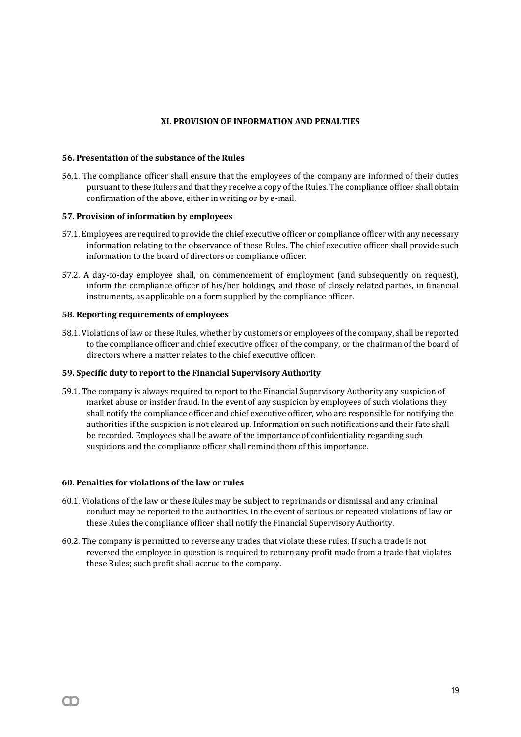# **XI. PROVISION OF INFORMATION AND PENALTIES**

## **56. Presentation of the substance of the Rules**

56.1. The compliance officer shall ensure that the employees of the company are informed of their duties pursuant to these Rulers and that they receive a copy of the Rules. The compliance officer shall obtain confirmation of the above, either in writing or by e-mail.

## **57. Provision of information by employees**

- 57.1. Employees are required to provide the chief executive officer or compliance officer with any necessary information relating to the observance of these Rules. The chief executive officer shall provide such information to the board of directors or compliance officer.
- 57.2. A day-to-day employee shall, on commencement of employment (and subsequently on request), inform the compliance officer of his/her holdings, and those of closely related parties, in financial instruments, as applicable on a form supplied by the compliance officer.

#### **58. Reporting requirements of employees**

58.1. Violations of law or these Rules, whether by customers or employees of the company, shall be reported to the compliance officer and chief executive officer of the company, or the chairman of the board of directors where a matter relates to the chief executive officer.

#### **59. Specific duty to report to the Financial Supervisory Authority**

59.1. The company is always required to report to the Financial Supervisory Authority any suspicion of market abuse or insider fraud. In the event of any suspicion by employees of such violations they shall notify the compliance officer and chief executive officer, who are responsible for notifying the authorities if the suspicion is not cleared up. Information on such notifications and their fate shall be recorded. Employees shall be aware of the importance of confidentiality regarding such suspicions and the compliance officer shall remind them of this importance.

#### **60. Penalties for violations of the law or rules**

- 60.1. Violations of the law or these Rules may be subject to reprimands or dismissal and any criminal conduct may be reported to the authorities. In the event of serious or repeated violations of law or these Rules the compliance officer shall notify the Financial Supervisory Authority.
- 60.2. The company is permitted to reverse any trades that violate these rules. If such a trade is not reversed the employee in question is required to return any profit made from a trade that violates these Rules; such profit shall accrue to the company.